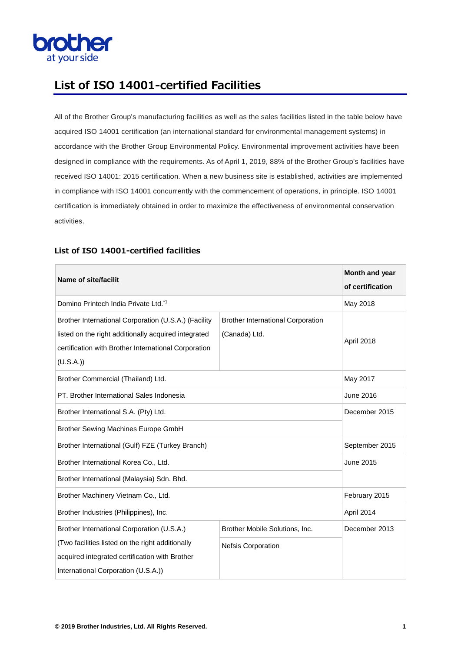

## **List of ISO 14001-certified Facilities**

All of the Brother Group's manufacturing facilities as well as the sales facilities listed in the table below have acquired ISO 14001 certification (an international standard for environmental management systems) in accordance with the Brother Group Environmental Policy. Environmental improvement activities have been designed in compliance with the requirements. As of April 1, 2019, 88% of the Brother Group's facilities have received ISO 14001: 2015 certification. When a new business site is established, activities are implemented in compliance with ISO 14001 concurrently with the commencement of operations, in principle. ISO 14001 certification is immediately obtained in order to maximize the effectiveness of environmental conservation activities.

| <b>Name of site/facilit</b>                                                                                                                                                             |                                                           | Month and year<br>of certification |
|-----------------------------------------------------------------------------------------------------------------------------------------------------------------------------------------|-----------------------------------------------------------|------------------------------------|
| Domino Printech India Private Ltd.*1                                                                                                                                                    |                                                           | May 2018                           |
| Brother International Corporation (U.S.A.) (Facility<br>listed on the right additionally acquired integrated<br>certification with Brother International Corporation<br>(U.S.A.)        | <b>Brother International Corporation</b><br>(Canada) Ltd. | April 2018                         |
| Brother Commercial (Thailand) Ltd.                                                                                                                                                      |                                                           | May 2017                           |
| PT. Brother International Sales Indonesia                                                                                                                                               |                                                           | June 2016                          |
| Brother International S.A. (Pty) Ltd.                                                                                                                                                   |                                                           | December 2015                      |
| Brother Sewing Machines Europe GmbH                                                                                                                                                     |                                                           |                                    |
| Brother International (Gulf) FZE (Turkey Branch)                                                                                                                                        |                                                           | September 2015                     |
| Brother International Korea Co., Ltd.                                                                                                                                                   |                                                           | June 2015                          |
| Brother International (Malaysia) Sdn. Bhd.                                                                                                                                              |                                                           |                                    |
| Brother Machinery Vietnam Co., Ltd.                                                                                                                                                     |                                                           | February 2015                      |
| Brother Industries (Philippines), Inc.                                                                                                                                                  |                                                           | April 2014                         |
| Brother International Corporation (U.S.A.)<br>(Two facilities listed on the right additionally<br>acquired integrated certification with Brother<br>International Corporation (U.S.A.)) | Brother Mobile Solutions, Inc.<br>Nefsis Corporation      | December 2013                      |

## **List of ISO 14001-certified facilities**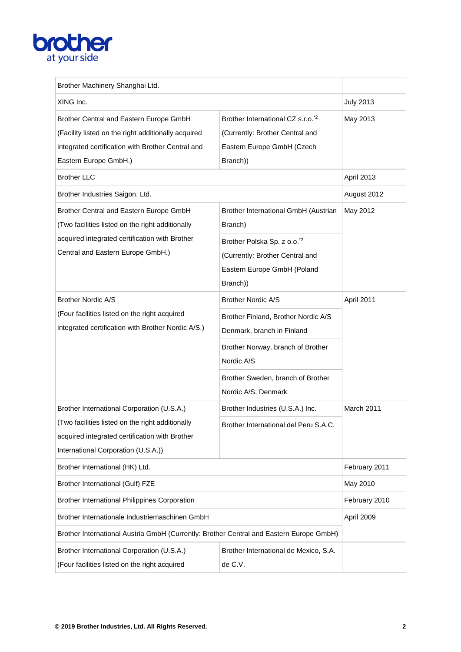## **brother**

| Brother Machinery Shanghai Ltd.                                                                                                                                                    |                                                                                                                            |                  |
|------------------------------------------------------------------------------------------------------------------------------------------------------------------------------------|----------------------------------------------------------------------------------------------------------------------------|------------------|
| XING Inc.                                                                                                                                                                          |                                                                                                                            | <b>July 2013</b> |
| Brother Central and Eastern Europe GmbH<br>(Facility listed on the right additionally acquired<br>integrated certification with Brother Central and<br>Eastern Europe GmbH.)       | Brother International CZ s.r.o. <sup>*2</sup><br>(Currently: Brother Central and<br>Eastern Europe GmbH (Czech<br>Branch)) | May 2013         |
| <b>Brother LLC</b>                                                                                                                                                                 |                                                                                                                            | April 2013       |
| Brother Industries Saigon, Ltd.                                                                                                                                                    |                                                                                                                            | August 2012      |
| Brother Central and Eastern Europe GmbH<br>(Two facilities listed on the right additionally<br>acquired integrated certification with Brother<br>Central and Eastern Europe GmbH.) | Brother International GmbH (Austrian<br>Branch)                                                                            | May 2012         |
|                                                                                                                                                                                    | Brother Polska Sp. z o.o. <sup>*2</sup><br>(Currently: Brother Central and<br>Eastern Europe GmbH (Poland<br>Branch))      |                  |
| <b>Brother Nordic A/S</b>                                                                                                                                                          | <b>Brother Nordic A/S</b>                                                                                                  | April 2011       |
| (Four facilities listed on the right acquired<br>integrated certification with Brother Nordic A/S.)                                                                                | Brother Finland, Brother Nordic A/S<br>Denmark, branch in Finland                                                          |                  |
|                                                                                                                                                                                    | Brother Norway, branch of Brother<br>Nordic A/S                                                                            |                  |
|                                                                                                                                                                                    | Brother Sweden, branch of Brother<br>Nordic A/S, Denmark                                                                   |                  |
| Brother International Corporation (U.S.A.)                                                                                                                                         | Brother Industries (U.S.A.) Inc.                                                                                           | March 2011       |
| (Two facilities listed on the right additionally<br>acquired integrated certification with Brother<br>International Corporation (U.S.A.))                                          | Brother International del Peru S.A.C.                                                                                      |                  |
| Brother International (HK) Ltd.                                                                                                                                                    |                                                                                                                            | February 2011    |
| <b>Brother International (Gulf) FZE</b>                                                                                                                                            |                                                                                                                            | May 2010         |
| <b>Brother International Philippines Corporation</b>                                                                                                                               |                                                                                                                            | February 2010    |
| Brother Internationale Industriemaschinen GmbH                                                                                                                                     |                                                                                                                            | April 2009       |
| Brother International Austria GmbH (Currently: Brother Central and Eastern Europe GmbH)                                                                                            |                                                                                                                            |                  |
| Brother International Corporation (U.S.A.)<br>(Four facilities listed on the right acquired                                                                                        | Brother International de Mexico, S.A.<br>de C.V.                                                                           |                  |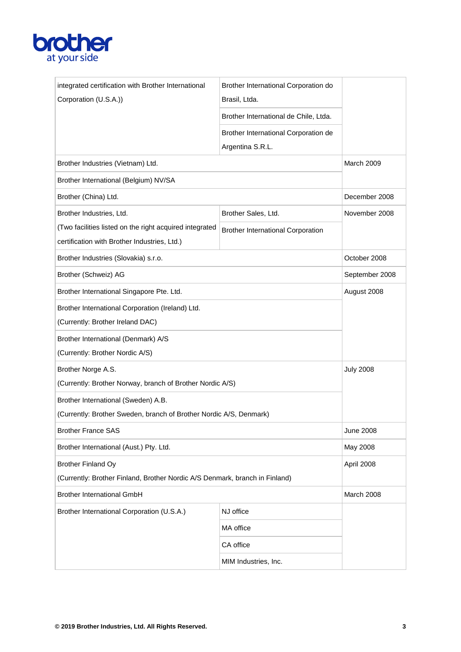

| Corporation (U.S.A.))<br>Brasil, Ltda.<br>Brother International de Chile, Ltda.<br>Brother International Corporation de<br>Argentina S.R.L.<br>Brother Industries (Vietnam) Ltd.<br>March 2009<br>Brother International (Belgium) NV/SA<br>Brother (China) Ltd.<br>December 2008<br>Brother Industries, Ltd.<br>November 2008<br>Brother Sales, Ltd.<br>(Two facilities listed on the right acquired integrated<br><b>Brother International Corporation</b><br>certification with Brother Industries, Ltd.)<br>Brother Industries (Slovakia) s.r.o.<br>October 2008<br>Brother (Schweiz) AG<br>September 2008<br>Brother International Singapore Pte. Ltd.<br>August 2008<br>Brother International Corporation (Ireland) Ltd.<br>(Currently: Brother Ireland DAC)<br>Brother International (Denmark) A/S<br>(Currently: Brother Nordic A/S)<br>Brother Norge A.S.<br><b>July 2008</b><br>(Currently: Brother Norway, branch of Brother Nordic A/S)<br>Brother International (Sweden) A.B.<br>(Currently: Brother Sweden, branch of Brother Nordic A/S, Denmark)<br><b>Brother France SAS</b><br><b>June 2008</b><br>Brother International (Aust.) Pty. Ltd.<br>May 2008<br><b>Brother Finland Oy</b><br>April 2008<br>(Currently: Brother Finland, Brother Nordic A/S Denmark, branch in Finland)<br><b>Brother International GmbH</b><br>March 2008<br>Brother International Corporation (U.S.A.)<br>NJ office<br>MA office<br>CA office | integrated certification with Brother International | Brother International Corporation do |  |
|-------------------------------------------------------------------------------------------------------------------------------------------------------------------------------------------------------------------------------------------------------------------------------------------------------------------------------------------------------------------------------------------------------------------------------------------------------------------------------------------------------------------------------------------------------------------------------------------------------------------------------------------------------------------------------------------------------------------------------------------------------------------------------------------------------------------------------------------------------------------------------------------------------------------------------------------------------------------------------------------------------------------------------------------------------------------------------------------------------------------------------------------------------------------------------------------------------------------------------------------------------------------------------------------------------------------------------------------------------------------------------------------------------------------------------------------|-----------------------------------------------------|--------------------------------------|--|
|                                                                                                                                                                                                                                                                                                                                                                                                                                                                                                                                                                                                                                                                                                                                                                                                                                                                                                                                                                                                                                                                                                                                                                                                                                                                                                                                                                                                                                           |                                                     |                                      |  |
|                                                                                                                                                                                                                                                                                                                                                                                                                                                                                                                                                                                                                                                                                                                                                                                                                                                                                                                                                                                                                                                                                                                                                                                                                                                                                                                                                                                                                                           |                                                     |                                      |  |
|                                                                                                                                                                                                                                                                                                                                                                                                                                                                                                                                                                                                                                                                                                                                                                                                                                                                                                                                                                                                                                                                                                                                                                                                                                                                                                                                                                                                                                           |                                                     |                                      |  |
|                                                                                                                                                                                                                                                                                                                                                                                                                                                                                                                                                                                                                                                                                                                                                                                                                                                                                                                                                                                                                                                                                                                                                                                                                                                                                                                                                                                                                                           |                                                     |                                      |  |
|                                                                                                                                                                                                                                                                                                                                                                                                                                                                                                                                                                                                                                                                                                                                                                                                                                                                                                                                                                                                                                                                                                                                                                                                                                                                                                                                                                                                                                           |                                                     |                                      |  |
|                                                                                                                                                                                                                                                                                                                                                                                                                                                                                                                                                                                                                                                                                                                                                                                                                                                                                                                                                                                                                                                                                                                                                                                                                                                                                                                                                                                                                                           |                                                     |                                      |  |
|                                                                                                                                                                                                                                                                                                                                                                                                                                                                                                                                                                                                                                                                                                                                                                                                                                                                                                                                                                                                                                                                                                                                                                                                                                                                                                                                                                                                                                           |                                                     |                                      |  |
|                                                                                                                                                                                                                                                                                                                                                                                                                                                                                                                                                                                                                                                                                                                                                                                                                                                                                                                                                                                                                                                                                                                                                                                                                                                                                                                                                                                                                                           |                                                     |                                      |  |
|                                                                                                                                                                                                                                                                                                                                                                                                                                                                                                                                                                                                                                                                                                                                                                                                                                                                                                                                                                                                                                                                                                                                                                                                                                                                                                                                                                                                                                           |                                                     |                                      |  |
|                                                                                                                                                                                                                                                                                                                                                                                                                                                                                                                                                                                                                                                                                                                                                                                                                                                                                                                                                                                                                                                                                                                                                                                                                                                                                                                                                                                                                                           |                                                     |                                      |  |
|                                                                                                                                                                                                                                                                                                                                                                                                                                                                                                                                                                                                                                                                                                                                                                                                                                                                                                                                                                                                                                                                                                                                                                                                                                                                                                                                                                                                                                           |                                                     |                                      |  |
|                                                                                                                                                                                                                                                                                                                                                                                                                                                                                                                                                                                                                                                                                                                                                                                                                                                                                                                                                                                                                                                                                                                                                                                                                                                                                                                                                                                                                                           |                                                     |                                      |  |
|                                                                                                                                                                                                                                                                                                                                                                                                                                                                                                                                                                                                                                                                                                                                                                                                                                                                                                                                                                                                                                                                                                                                                                                                                                                                                                                                                                                                                                           |                                                     |                                      |  |
|                                                                                                                                                                                                                                                                                                                                                                                                                                                                                                                                                                                                                                                                                                                                                                                                                                                                                                                                                                                                                                                                                                                                                                                                                                                                                                                                                                                                                                           |                                                     |                                      |  |
|                                                                                                                                                                                                                                                                                                                                                                                                                                                                                                                                                                                                                                                                                                                                                                                                                                                                                                                                                                                                                                                                                                                                                                                                                                                                                                                                                                                                                                           |                                                     |                                      |  |
|                                                                                                                                                                                                                                                                                                                                                                                                                                                                                                                                                                                                                                                                                                                                                                                                                                                                                                                                                                                                                                                                                                                                                                                                                                                                                                                                                                                                                                           |                                                     |                                      |  |
|                                                                                                                                                                                                                                                                                                                                                                                                                                                                                                                                                                                                                                                                                                                                                                                                                                                                                                                                                                                                                                                                                                                                                                                                                                                                                                                                                                                                                                           |                                                     |                                      |  |
|                                                                                                                                                                                                                                                                                                                                                                                                                                                                                                                                                                                                                                                                                                                                                                                                                                                                                                                                                                                                                                                                                                                                                                                                                                                                                                                                                                                                                                           |                                                     |                                      |  |
|                                                                                                                                                                                                                                                                                                                                                                                                                                                                                                                                                                                                                                                                                                                                                                                                                                                                                                                                                                                                                                                                                                                                                                                                                                                                                                                                                                                                                                           |                                                     |                                      |  |
|                                                                                                                                                                                                                                                                                                                                                                                                                                                                                                                                                                                                                                                                                                                                                                                                                                                                                                                                                                                                                                                                                                                                                                                                                                                                                                                                                                                                                                           |                                                     |                                      |  |
|                                                                                                                                                                                                                                                                                                                                                                                                                                                                                                                                                                                                                                                                                                                                                                                                                                                                                                                                                                                                                                                                                                                                                                                                                                                                                                                                                                                                                                           |                                                     |                                      |  |
|                                                                                                                                                                                                                                                                                                                                                                                                                                                                                                                                                                                                                                                                                                                                                                                                                                                                                                                                                                                                                                                                                                                                                                                                                                                                                                                                                                                                                                           |                                                     |                                      |  |
|                                                                                                                                                                                                                                                                                                                                                                                                                                                                                                                                                                                                                                                                                                                                                                                                                                                                                                                                                                                                                                                                                                                                                                                                                                                                                                                                                                                                                                           |                                                     |                                      |  |
|                                                                                                                                                                                                                                                                                                                                                                                                                                                                                                                                                                                                                                                                                                                                                                                                                                                                                                                                                                                                                                                                                                                                                                                                                                                                                                                                                                                                                                           |                                                     |                                      |  |
|                                                                                                                                                                                                                                                                                                                                                                                                                                                                                                                                                                                                                                                                                                                                                                                                                                                                                                                                                                                                                                                                                                                                                                                                                                                                                                                                                                                                                                           |                                                     |                                      |  |
|                                                                                                                                                                                                                                                                                                                                                                                                                                                                                                                                                                                                                                                                                                                                                                                                                                                                                                                                                                                                                                                                                                                                                                                                                                                                                                                                                                                                                                           |                                                     |                                      |  |
|                                                                                                                                                                                                                                                                                                                                                                                                                                                                                                                                                                                                                                                                                                                                                                                                                                                                                                                                                                                                                                                                                                                                                                                                                                                                                                                                                                                                                                           |                                                     |                                      |  |
|                                                                                                                                                                                                                                                                                                                                                                                                                                                                                                                                                                                                                                                                                                                                                                                                                                                                                                                                                                                                                                                                                                                                                                                                                                                                                                                                                                                                                                           |                                                     |                                      |  |
|                                                                                                                                                                                                                                                                                                                                                                                                                                                                                                                                                                                                                                                                                                                                                                                                                                                                                                                                                                                                                                                                                                                                                                                                                                                                                                                                                                                                                                           |                                                     |                                      |  |
|                                                                                                                                                                                                                                                                                                                                                                                                                                                                                                                                                                                                                                                                                                                                                                                                                                                                                                                                                                                                                                                                                                                                                                                                                                                                                                                                                                                                                                           |                                                     | MIM Industries, Inc.                 |  |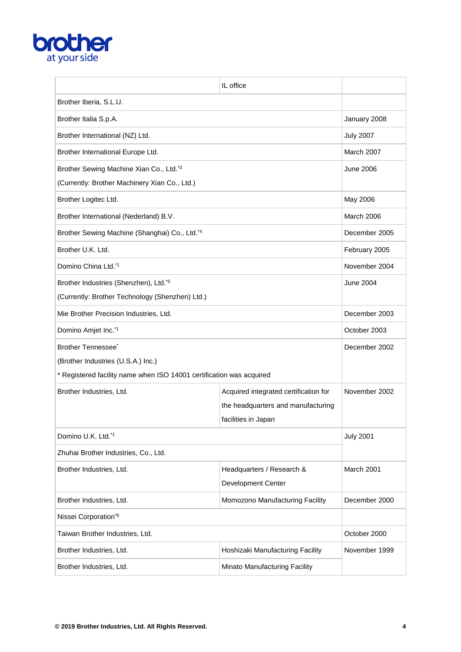

|                                                                      | IL office                             |                   |
|----------------------------------------------------------------------|---------------------------------------|-------------------|
| Brother Iberia, S.L.U.                                               |                                       |                   |
| Brother Italia S.p.A.                                                |                                       | January 2008      |
| Brother International (NZ) Ltd.                                      |                                       | <b>July 2007</b>  |
| Brother International Europe Ltd.                                    |                                       | March 2007        |
| Brother Sewing Machine Xian Co., Ltd.*3                              |                                       | <b>June 2006</b>  |
| (Currently: Brother Machinery Xian Co., Ltd.)                        |                                       |                   |
| Brother Logitec Ltd.                                                 |                                       | May 2006          |
| Brother International (Nederland) B.V.                               |                                       | <b>March 2006</b> |
| Brother Sewing Machine (Shanghai) Co., Ltd.*4                        |                                       | December 2005     |
| Brother U.K. Ltd.                                                    |                                       | February 2005     |
| Domino China Ltd.*1                                                  |                                       | November 2004     |
| Brother Industries (Shenzhen), Ltd. <sup>*5</sup>                    |                                       | <b>June 2004</b>  |
| (Currently: Brother Technology (Shenzhen) Ltd.)                      |                                       |                   |
| Mie Brother Precision Industries, Ltd.                               |                                       | December 2003     |
| Domino Amjet Inc.*1                                                  |                                       | October 2003      |
| Brother Tennessee <sup>*</sup>                                       |                                       | December 2002     |
| (Brother Industries (U.S.A.) Inc.)                                   |                                       |                   |
| * Registered facility name when ISO 14001 certification was acquired |                                       |                   |
| Brother Industries, Ltd.                                             | Acquired integrated certification for | November 2002     |
|                                                                      | the headquarters and manufacturing    |                   |
| facilities in Japan                                                  |                                       |                   |
| Domino U.K. Ltd.*1                                                   |                                       | <b>July 2001</b>  |
| Zhuhai Brother Industries, Co., Ltd.                                 |                                       |                   |
| Brother Industries, Ltd.                                             | Headquarters / Research &             | March 2001        |
|                                                                      | Development Center                    |                   |
| Brother Industries, Ltd.<br>Momozono Manufacturing Facility          |                                       | December 2000     |
| Nissei Corporation*6                                                 |                                       |                   |
| Taiwan Brother Industries, Ltd.                                      |                                       | October 2000      |
| Brother Industries, Ltd.                                             | Hoshizaki Manufacturing Facility      | November 1999     |
| Brother Industries, Ltd.                                             | Minato Manufacturing Facility         |                   |